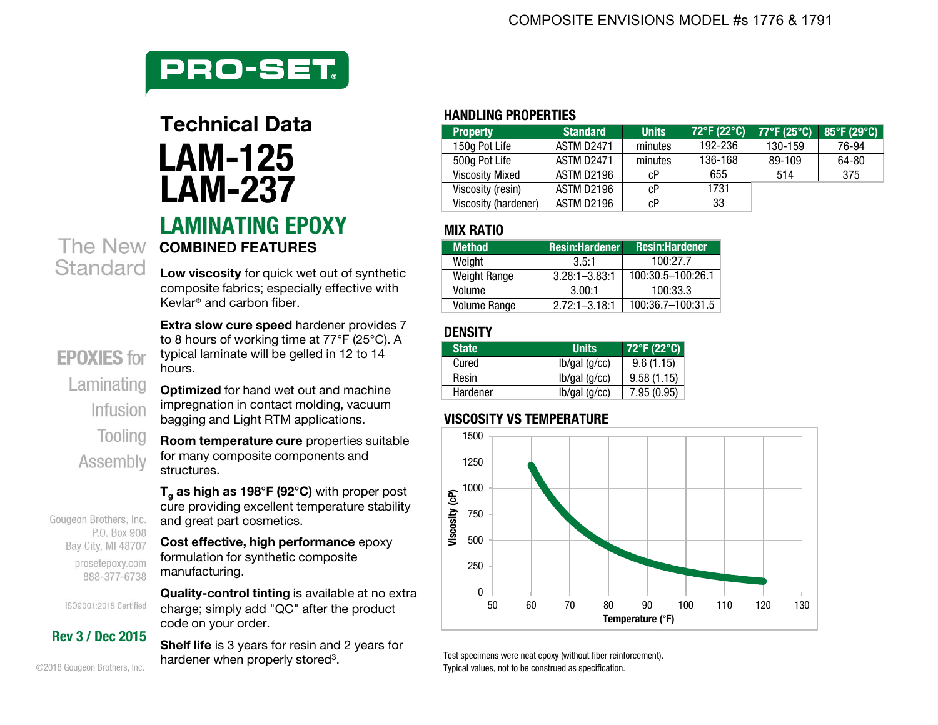

# **HANDLING PROPERTIES LAMINATING EPOXY MIX RATIO LAM-125 LAM-237**

**Low viscosity** for quick wet out of synthetic composite fabrics; especially effective with Kevlar® and carbon fiber.

**Extra slow cure speed hardener provides 7** to 8 hours of working time at 77°F (25°C). A typical laminate will be gelled in 12 to 14 hours.

**Optimized** for hand wet out and machine impregnation in contact molding, vacuum bagging and Light RTM applications.

**Room temperature cure** properties suitable for many composite components and structures.

**Tg as high as 198°F (92°C)** with proper post cure providing excellent temperature stability and great part cosmetics.

**Cost effective, high performance** epoxy formulation for synthetic composite manufacturing.

**Quality-control tinting** is available at no extra charge; simply add "QC" after the product code on your order.

**Shelf life** is 3 years for resin and 2 years for hardener when properly stored<sup>3</sup>.

| <b>Property</b>        | <b>Standard</b> | <b>Units</b> | 72°F (22°C) | 77°F (25°C) | 85°F (29°C) $ $ |
|------------------------|-----------------|--------------|-------------|-------------|-----------------|
| 150g Pot Life          | ASTM D2471      | minutes      | 192-236     | 130-159     | 76-94           |
| 500g Pot Life          | ASTM D2471      | minutes      | 136-168     | 89-109      | 64-80           |
| <b>Viscosity Mixed</b> | ASTM D2196      | cР           | 655         | 514         | 375             |
| Viscosity (resin)      | ASTM D2196      | cР           | 1731        |             |                 |
| Viscosity (hardener)   | ASTM D2196      | сP           | 33          |             |                 |

| <b>Method</b>       | <b>Resin:Hardener</b> | <b>Resin:Hardener</b> |
|---------------------|-----------------------|-----------------------|
| Weight              | 3.5:1                 | 100.277               |
| <b>Weight Range</b> | $3.28:1 - 3.83:1$     | $100:30.5 - 100:26.1$ |
| Volume              | 3.00:1                | 100:33.3              |
| <b>Volume Range</b> | $2.72:1 - 3.18:1$     | $100:36.7 - 100:31.5$ |

## **DENSITY**

| <b>State</b> | <b>Units</b> | 72°F (22°C) |  |  |
|--------------|--------------|-------------|--|--|
| Cured        | lb/gal(g/cc) | 9.6(1.15)   |  |  |
| Resin        | lb/gal(g/cc) | 9.58(1.15)  |  |  |
| Hardener     | lb/gal(g/cc) | 7.95(0.95)  |  |  |

### **VISCOSITY VS TEMPERATURE**



Test specimens were neat epoxy (without fiber reinforcement). Typical values, not to be construed as specification.

## **The New combined FEATURES** Standard

**EPOXIES** for Laminating Infusion Tooling

Assembly

Gougeon Brothers, Inc. P.O. Box 908 Bay City, MI 48707 prosetepoxy.com 888-377-6738

ISO9001:2015 Certified

**Rev 3 / Dec 2015**

©2018 Gougeon Brothers, Inc.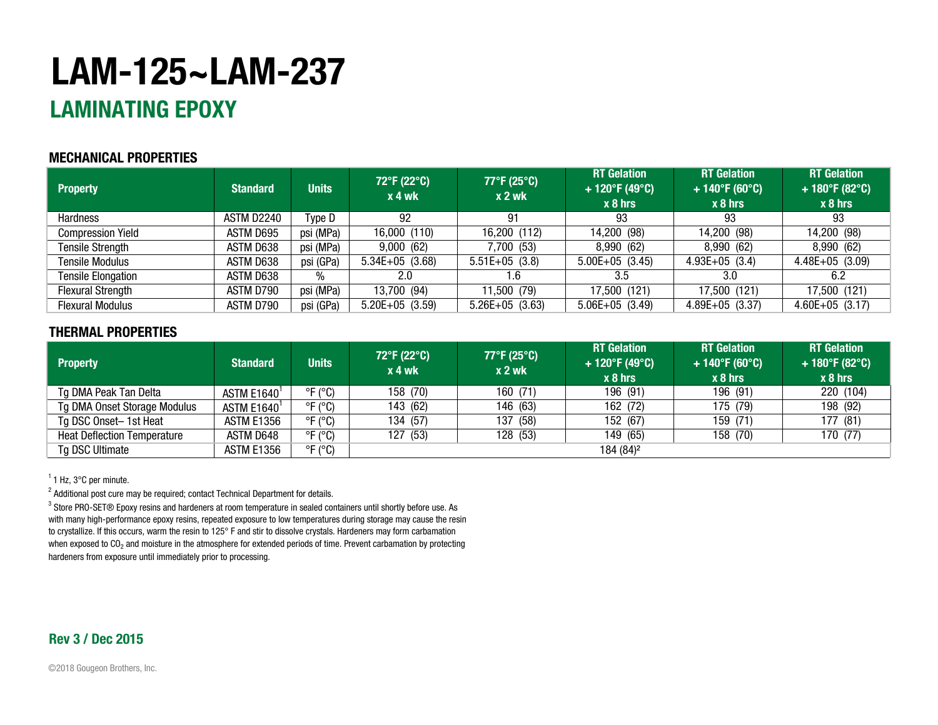# **LAM-125~LAM-237**

# **LAMINATING EPOXY**

### **MECHANICAL PROPERTIES**

| <b>Property</b>           | <b>Standard</b> | <b>Units</b> | 72°F (22°C)<br>$x 4$ wk | $77^{\circ}$ F (25 $^{\circ}$ C)<br>$x2$ wk | <b>RT</b> Gelation<br>+ 120°F (49°C)<br>$x 8$ hrs | <b>RT</b> Gelation<br>$+140^{\circ}F(60^{\circ}C)$<br>$x_8$ hrs | <b>RT</b> Gelation<br>+ 180°F (82°C)<br>$x 8$ hrs |
|---------------------------|-----------------|--------------|-------------------------|---------------------------------------------|---------------------------------------------------|-----------------------------------------------------------------|---------------------------------------------------|
| <b>Hardness</b>           | ASTM D2240      | Type D       | 92                      | 91                                          | 93                                                | 93                                                              | 93                                                |
| <b>Compression Yield</b>  | ASTM D695       | psi (MPa)    | 16,000 (110)            | 16,200 (112)                                | 14,200 (98)                                       | 14,200 (98)                                                     | 14,200 (98)                                       |
| <b>Tensile Strength</b>   | ASTM D638       | psi (MPa)    | 9,000(62)               | 7,700 (53)                                  | 8,990 (62)                                        | 8,990 (62)                                                      | 8,990 (62)                                        |
| <b>Tensile Modulus</b>    | ASTM D638       | psi (GPa)    | $5.34E+05$ (3.68)       | $5.51E+05$ (3.8)                            | $5.00E+05$ (3.45)                                 | $4.93E+05$ (3.4)                                                | $4.48E+05$ (3.09)                                 |
| <b>Tensile Elongation</b> | ASTM D638       | %            | 2.0                     | 1.6                                         | 3.5                                               | 3.0                                                             | 6.2                                               |
| <b>Flexural Strength</b>  | ASTM D790       | psi (MPa)    | 13,700 (94)             | 11,500 (79)                                 | 17,500 (121)                                      | 17,500 (121)                                                    | 17,500 (121)                                      |
| <b>Flexural Modulus</b>   | ASTM D790       | psi (GPa)    | $5.20E+05$ (3.59)       | $5.26E+05$ (3.63)                           | $5.06E+05$ (3.49)                                 | $4.89E+05$ (3.37)                                               | $4.60E+05$ (3.17)                                 |

### **THERMAL PROPERTIES**

| <b>Property</b>                    | <b>Standard</b>   | <b>Units</b>               | 72°F (22°C)<br>x 4 wk | 77°F (25°C)<br>$x2$ wk | <b>RT</b> Gelation<br>$+120^{\circ}F(49^{\circ}C)$<br>$x 8$ hrs | <b>RT</b> Gelation<br>$+140^{\circ}F(60^{\circ}C)$<br>$x_8$ hrs | <b>RT</b> Gelation<br>+ 180°F (82°C)<br>$x 8$ hrs |
|------------------------------------|-------------------|----------------------------|-----------------------|------------------------|-----------------------------------------------------------------|-----------------------------------------------------------------|---------------------------------------------------|
| Tg DMA Peak Tan Delta              | ASTM E1640        | $\degree$ F ( $\degree$ C) | 158 (70)              | 160 (71)               | 196 (91)                                                        | 196 (91)                                                        | 220 (104)                                         |
| Tg DMA Onset Storage Modulus       | <b>ASTM E1640</b> | $\degree$ F ( $\degree$ C) | 143 (62)              | 146 (63)               | 162 (72)                                                        | 175 (79)                                                        | 198 (92)                                          |
| Tg DSC Onset-1st Heat              | <b>ASTM E1356</b> | $\degree$ F ( $\degree$ C) | 134 (57)              | (58)<br>137            | 152 (67)                                                        | 159 (71)                                                        | 177 (81)                                          |
| <b>Heat Deflection Temperature</b> | ASTM D648         | $\degree$ F ( $\degree$ C) | 127 (53)              | 128 (53)               | 149 (65)                                                        | 158 (70)                                                        | 170 (77)                                          |
| Tg DSC Ultimate                    | ASTM E1356        | $\mathrm{P}F(\mathrm{C})$  |                       |                        | 184 (84) <sup>2</sup>                                           |                                                                 |                                                   |

 $1$  Hz, 3 $\degree$ C per minute.

 $^{\text{2}}$  Additional post cure may be required; contact Technical Department for details.

 $^3$  Store PRO-SET® Epoxy resins and hardeners at room temperature in sealed containers until shortly before use. As with many high-performance epoxy resins, repeated exposure to low temperatures during storage may cause the resin to crystallize. If this occurs, warm the resin to 125° F and stir to dissolve crystals. Hardeners may form carbamation when exposed to CO<sub>2</sub> and moisture in the atmosphere for extended periods of time. Prevent carbamation by protecting hardeners from exposure until immediately prior to processing.

### **Rev 3 / Dec 2015**